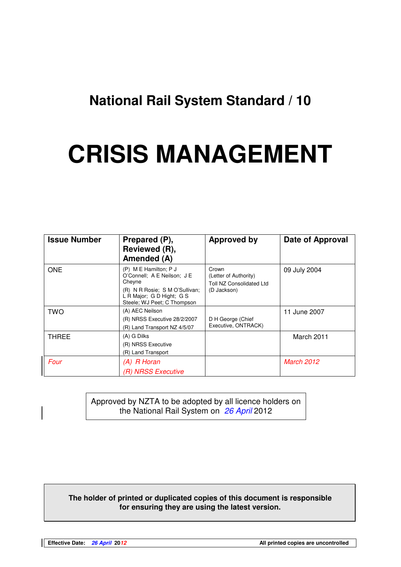## **National Rail System Standard / 10**

# **CRISIS MANAGEMENT**

| <b>Issue Number</b> | Prepared (P),<br>Reviewed (R),<br>Amended (A)                                                                                                                  | <b>Approved by</b>                                                        | Date of Approval  |
|---------------------|----------------------------------------------------------------------------------------------------------------------------------------------------------------|---------------------------------------------------------------------------|-------------------|
| <b>ONE</b>          | $(P)$ M E Hamilton; P J<br>O'Connell; A E Neilson; J E<br>Cheyne<br>(R) N R Rosie; S M O'Sullivan;<br>L R Major; G D Hight; G S<br>Steele; WJ Peet; C Thompson | Crown<br>(Letter of Authority)<br>Toll NZ Consolidated Ltd<br>(D Jackson) | 09 July 2004      |
| <b>TWO</b>          | (A) AEC Neilson<br>(R) NRSS Executive 28/2/2007<br>(R) Land Transport NZ 4/5/07                                                                                | D H George (Chief<br>Executive, ONTRACK)                                  | 11 June 2007      |
| <b>THREE</b>        | (A) G Dilks<br>(R) NRSS Executive<br>(R) Land Transport                                                                                                        |                                                                           | March 2011        |
| Four                | $(A)$ R Horan<br>(R) NRSS Executive                                                                                                                            |                                                                           | <b>March 2012</b> |

Approved by NZTA to be adopted by all licence holders on the National Rail System on 26 April 2012

#### **The holder of printed or duplicated copies of this document is responsible for ensuring they are using the latest version.**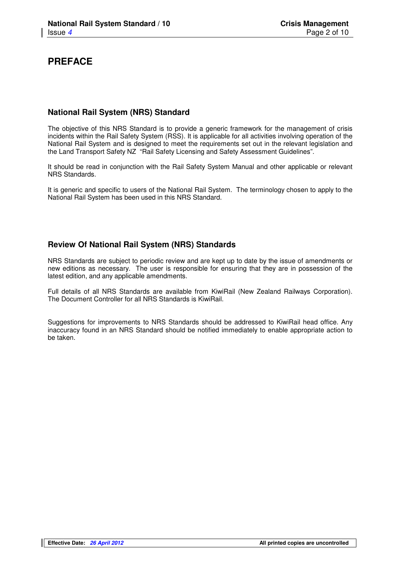## **PREFACE**

#### **National Rail System (NRS) Standard**

The objective of this NRS Standard is to provide a generic framework for the management of crisis incidents within the Rail Safety System (RSS). It is applicable for all activities involving operation of the National Rail System and is designed to meet the requirements set out in the relevant legislation and the Land Transport Safety NZ "Rail Safety Licensing and Safety Assessment Guidelines".

It should be read in conjunction with the Rail Safety System Manual and other applicable or relevant NRS Standards.

It is generic and specific to users of the National Rail System. The terminology chosen to apply to the National Rail System has been used in this NRS Standard.

#### **Review Of National Rail System (NRS) Standards**

NRS Standards are subject to periodic review and are kept up to date by the issue of amendments or new editions as necessary. The user is responsible for ensuring that they are in possession of the latest edition, and any applicable amendments.

Full details of all NRS Standards are available from KiwiRail (New Zealand Railways Corporation). The Document Controller for all NRS Standards is KiwiRail.

Suggestions for improvements to NRS Standards should be addressed to KiwiRail head office. Any inaccuracy found in an NRS Standard should be notified immediately to enable appropriate action to be taken.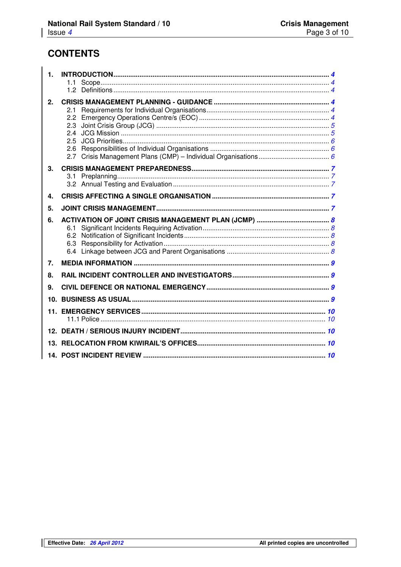## **CONTENTS**

| $\mathbf{1}$ . |     |
|----------------|-----|
|                |     |
|                | 1.2 |
| 2.             |     |
|                | 2.1 |
|                | 2.3 |
|                | 2.4 |
|                | 2.5 |
|                | 2.6 |
|                | 2.7 |
| 3 <sub>1</sub> |     |
|                | 3.1 |
|                |     |
| 4.             |     |
| 5.             |     |
|                |     |
| 6.             |     |
|                | 6.1 |
|                |     |
|                |     |
|                |     |
| 7.             |     |
| 8.             |     |
| 9.             |     |
|                |     |
|                |     |
|                |     |
|                |     |
|                |     |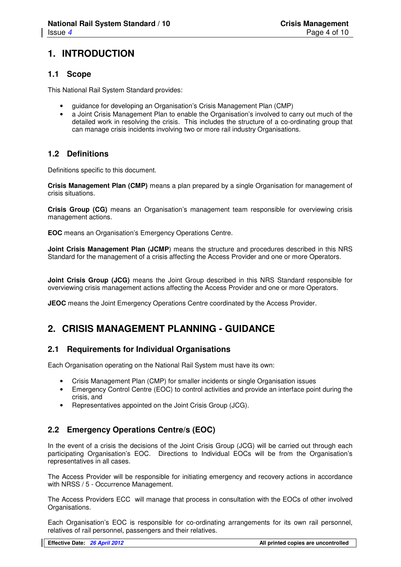## **1. INTRODUCTION**

#### **1.1 Scope**

This National Rail System Standard provides:

- guidance for developing an Organisation's Crisis Management Plan (CMP)
- a Joint Crisis Management Plan to enable the Organisation's involved to carry out much of the detailed work in resolving the crisis. This includes the structure of a co-ordinating group that can manage crisis incidents involving two or more rail industry Organisations.

#### **1.2 Definitions**

Definitions specific to this document.

**Crisis Management Plan (CMP)** means a plan prepared by a single Organisation for management of crisis situations.

**Crisis Group (CG)** means an Organisation's management team responsible for overviewing crisis management actions.

**EOC** means an Organisation's Emergency Operations Centre.

**Joint Crisis Management Plan (JCMP)** means the structure and procedures described in this NRS Standard for the management of a crisis affecting the Access Provider and one or more Operators.

**Joint Crisis Group (JCG)** means the Joint Group described in this NRS Standard responsible for overviewing crisis management actions affecting the Access Provider and one or more Operators.

**JEOC** means the Joint Emergency Operations Centre coordinated by the Access Provider.

## **2. CRISIS MANAGEMENT PLANNING - GUIDANCE**

#### **2.1 Requirements for Individual Organisations**

Each Organisation operating on the National Rail System must have its own:

- Crisis Management Plan (CMP) for smaller incidents or single Organisation issues
- Emergency Control Centre (EOC) to control activities and provide an interface point during the crisis, and
- Representatives appointed on the Joint Crisis Group (JCG).

## **2.2 Emergency Operations Centre/s (EOC)**

In the event of a crisis the decisions of the Joint Crisis Group (JCG) will be carried out through each participating Organisation's EOC. Directions to Individual EOCs will be from the Organisation's representatives in all cases.

The Access Provider will be responsible for initiating emergency and recovery actions in accordance with NRSS / 5 - Occurrence Management.

The Access Providers ECC will manage that process in consultation with the EOCs of other involved Organisations.

Each Organisation's EOC is responsible for co-ordinating arrangements for its own rail personnel, relatives of rail personnel, passengers and their relatives.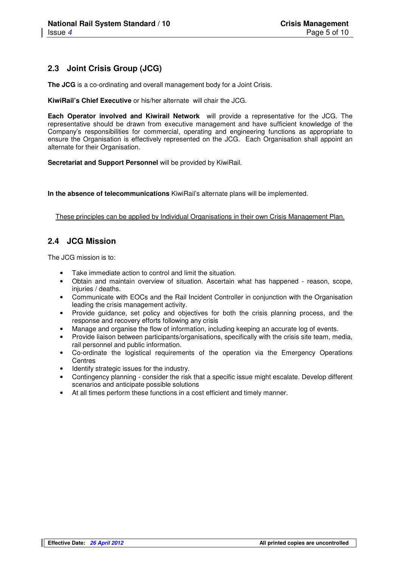## **2.3 Joint Crisis Group (JCG)**

**The JCG** is a co-ordinating and overall management body for a Joint Crisis.

**KiwiRail's Chief Executive** or his/her alternate will chair the JCG.

**Each Operator involved and Kiwirail Network** will provide a representative for the JCG. The representative should be drawn from executive management and have sufficient knowledge of the Company's responsibilities for commercial, operating and engineering functions as appropriate to ensure the Organisation is effectively represented on the JCG. Each Organisation shall appoint an alternate for their Organisation.

**Secretariat and Support Personnel** will be provided by KiwiRail.

**In the absence of telecommunications** KiwiRail's alternate plans will be implemented.

These principles can be applied by Individual Organisations in their own Crisis Management Plan.

## **2.4 JCG Mission**

The JCG mission is to:

- Take immediate action to control and limit the situation.
- Obtain and maintain overview of situation. Ascertain what has happened reason, scope, injuries / deaths.
- Communicate with EOCs and the Rail Incident Controller in conjunction with the Organisation leading the crisis management activity.
- Provide guidance, set policy and objectives for both the crisis planning process, and the response and recovery efforts following any crisis
- Manage and organise the flow of information, including keeping an accurate log of events.
- Provide liaison between participants/organisations, specifically with the crisis site team, media, rail personnel and public information.
- Co-ordinate the logistical requirements of the operation via the Emergency Operations **Centres**
- Identify strategic issues for the industry.
- Contingency planning consider the risk that a specific issue might escalate. Develop different scenarios and anticipate possible solutions
- At all times perform these functions in a cost efficient and timely manner.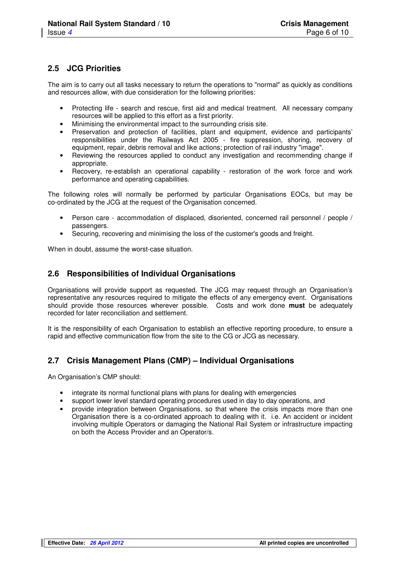#### **2.5 JCG Priorities**

The aim is to carry out all tasks necessary to return the operations to "normal" as quickly as conditions and resources allow, with due consideration for the following priorities:

- Protecting life search and rescue, first aid and medical treatment. All necessary company resources will be applied to this effort as a first priority.
- Minimising the environmental impact to the surrounding crisis site.<br>• Preservation and protection of facilities plant and equipment
- Preservation and protection of facilities, plant and equipment, evidence and participants' responsibilities under the Railways Act 2005 - fire suppression, shoring, recovery of equipment, repair, debris removal and like actions; protection of rail industry "image".
- Reviewing the resources applied to conduct any investigation and recommending change if appropriate.
- Recovery, re-establish an operational capability restoration of the work force and work performance and operating capabilities.

The following roles will normally be performed by particular Organisations EOCs, but may be co-ordinated by the JCG at the request of the Organisation concerned.

- Person care accommodation of displaced, disoriented, concerned rail personnel / people / passengers.
- Securing, recovering and minimising the loss of the customer's goods and freight.

When in doubt, assume the worst-case situation.

#### **2.6 Responsibilities of Individual Organisations**

Organisations will provide support as requested. The JCG may request through an Organisation's representative any resources required to mitigate the effects of any emergency event. Organisations should provide those resources wherever possible. Costs and work done **must** be adequately recorded for later reconciliation and settlement.

It is the responsibility of each Organisation to establish an effective reporting procedure, to ensure a rapid and effective communication flow from the site to the CG or JCG as necessary.

## **2.7 Crisis Management Plans (CMP) – Individual Organisations**

An Organisation's CMP should:

- integrate its normal functional plans with plans for dealing with emergencies
- support lower level standard operating procedures used in day to day operations, and
- provide integration between Organisations, so that where the crisis impacts more than one Organisation there is a co-ordinated approach to dealing with it. i.e. An accident or incident involving multiple Operators or damaging the National Rail System or infrastructure impacting on both the Access Provider and an Operator/s.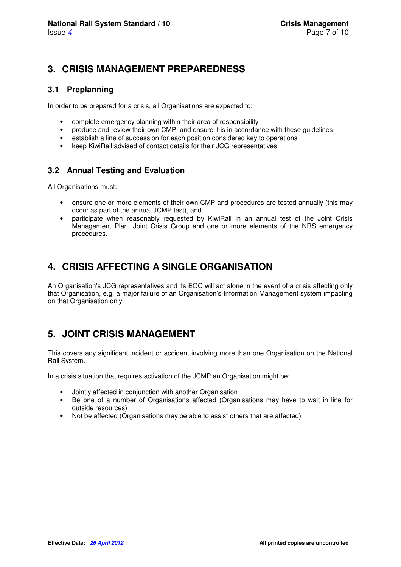## **3. CRISIS MANAGEMENT PREPAREDNESS**

#### **3.1 Preplanning**

In order to be prepared for a crisis, all Organisations are expected to:

- complete emergency planning within their area of responsibility
- produce and review their own CMP, and ensure it is in accordance with these guidelines
- establish a line of succession for each position considered key to operations
- keep KiwiRail advised of contact details for their JCG representatives

## **3.2 Annual Testing and Evaluation**

All Organisations must:

- ensure one or more elements of their own CMP and procedures are tested annually (this may occur as part of the annual JCMP test), and
- participate when reasonably requested by KiwiRail in an annual test of the Joint Crisis Management Plan, Joint Crisis Group and one or more elements of the NRS emergency procedures.

## **4. CRISIS AFFECTING A SINGLE ORGANISATION**

An Organisation's JCG representatives and its EOC will act alone in the event of a crisis affecting only that Organisation, e.g. a major failure of an Organisation's Information Management system impacting on that Organisation only.

## **5. JOINT CRISIS MANAGEMENT**

This covers any significant incident or accident involving more than one Organisation on the National Rail System.

In a crisis situation that requires activation of the JCMP an Organisation might be:

- Jointly affected in conjunction with another Organisation
- Be one of a number of Organisations affected (Organisations may have to wait in line for outside resources)
- Not be affected (Organisations may be able to assist others that are affected)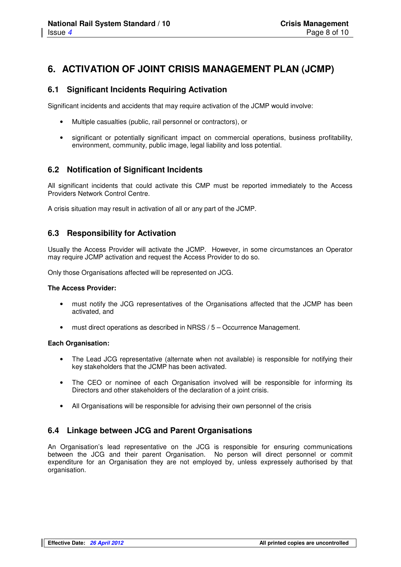## **6. ACTIVATION OF JOINT CRISIS MANAGEMENT PLAN (JCMP)**

#### **6.1 Significant Incidents Requiring Activation**

Significant incidents and accidents that may require activation of the JCMP would involve:

- Multiple casualties (public, rail personnel or contractors), or
- significant or potentially significant impact on commercial operations, business profitability, environment, community, public image, legal liability and loss potential.

#### **6.2 Notification of Significant Incidents**

All significant incidents that could activate this CMP must be reported immediately to the Access Providers Network Control Centre.

A crisis situation may result in activation of all or any part of the JCMP.

#### **6.3 Responsibility for Activation**

Usually the Access Provider will activate the JCMP. However, in some circumstances an Operator may require JCMP activation and request the Access Provider to do so.

Only those Organisations affected will be represented on JCG.

#### **The Access Provider:**

- must notify the JCG representatives of the Organisations affected that the JCMP has been activated, and
- must direct operations as described in NRSS / 5 Occurrence Management.

#### **Each Organisation:**

- The Lead JCG representative (alternate when not available) is responsible for notifying their key stakeholders that the JCMP has been activated.
- The CEO or nominee of each Organisation involved will be responsible for informing its Directors and other stakeholders of the declaration of a joint crisis.
- All Organisations will be responsible for advising their own personnel of the crisis

#### **6.4 Linkage between JCG and Parent Organisations**

An Organisation's lead representative on the JCG is responsible for ensuring communications between the JCG and their parent Organisation. No person will direct personnel or commit expenditure for an Organisation they are not employed by, unless expressely authorised by that organisation.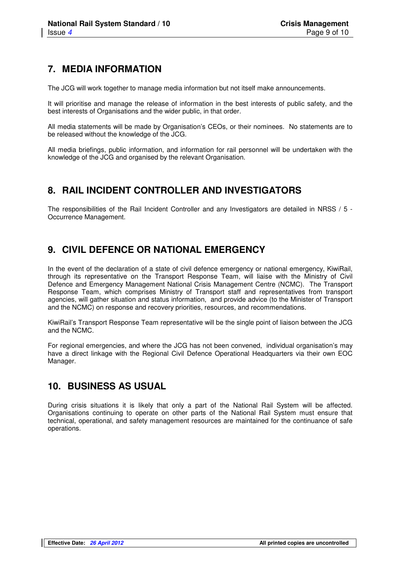## **7. MEDIA INFORMATION**

The JCG will work together to manage media information but not itself make announcements.

It will prioritise and manage the release of information in the best interests of public safety, and the best interests of Organisations and the wider public, in that order.

All media statements will be made by Organisation's CEOs, or their nominees. No statements are to be released without the knowledge of the JCG.

All media briefings, public information, and information for rail personnel will be undertaken with the knowledge of the JCG and organised by the relevant Organisation.

## **8. RAIL INCIDENT CONTROLLER AND INVESTIGATORS**

The responsibilities of the Rail Incident Controller and any Investigators are detailed in NRSS / 5 -Occurrence Management.

## **9. CIVIL DEFENCE OR NATIONAL EMERGENCY**

In the event of the declaration of a state of civil defence emergency or national emergency, KiwiRail, through its representative on the Transport Response Team, will liaise with the Ministry of Civil Defence and Emergency Management National Crisis Management Centre (NCMC). The Transport Response Team, which comprises Ministry of Transport staff and representatives from transport agencies, will gather situation and status information, and provide advice (to the Minister of Transport and the NCMC) on response and recovery priorities, resources, and recommendations.

KiwiRail's Transport Response Team representative will be the single point of liaison between the JCG and the NCMC.

For regional emergencies, and where the JCG has not been convened, individual organisation's may have a direct linkage with the Regional Civil Defence Operational Headquarters via their own EOC Manager.

## **10. BUSINESS AS USUAL**

During crisis situations it is likely that only a part of the National Rail System will be affected. Organisations continuing to operate on other parts of the National Rail System must ensure that technical, operational, and safety management resources are maintained for the continuance of safe operations.